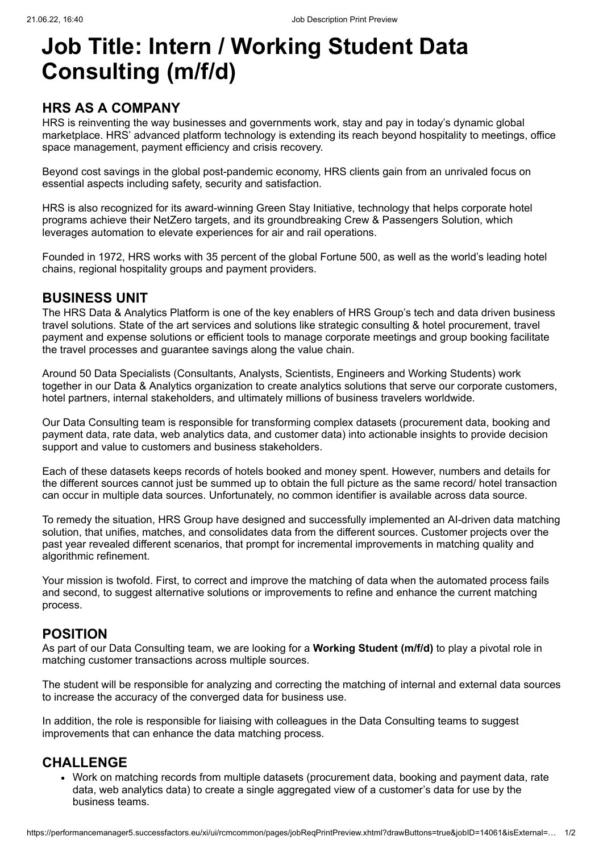# **Job Title: Intern / Working Student Data Consulting (m/f/d)**

## **HRS AS A COMPANY**

HRS is reinventing the way businesses and governments work, stay and pay in today's dynamic global marketplace. HRS' advanced platform technology is extending its reach beyond hospitality to meetings, office space management, payment efficiency and crisis recovery.

Beyond cost savings in the global post-pandemic economy, HRS clients gain from an unrivaled focus on essential aspects including safety, security and satisfaction.

HRS is also recognized for its [award-winning Green Stay Initiative,](javascript:void(0);) technology that helps corporate hotel programs achieve their NetZero targets, and its groundbreaking Crew & Passengers Solution, which leverages automation to elevate experiences for air and rail operations.

Founded in 1972, HRS works with 35 percent of the global Fortune 500, as well as the world's leading hotel chains, regional hospitality groups and payment providers.

#### **BUSINESS UNIT**

The HRS Data & Analytics Platform is one of the key enablers of HRS Group's tech and data driven business travel solutions. State of the art services and solutions like strategic consulting & hotel procurement, travel payment and expense solutions or efficient tools to manage corporate meetings and group booking facilitate the travel processes and guarantee savings along the value chain.

Around 50 Data Specialists (Consultants, Analysts, Scientists, Engineers and Working Students) work together in our Data & Analytics organization to create analytics solutions that serve our corporate customers, hotel partners, internal stakeholders, and ultimately millions of business travelers worldwide.

Our Data Consulting team is responsible for transforming complex datasets (procurement data, booking and payment data, rate data, web analytics data, and customer data) into actionable insights to provide decision support and value to customers and business stakeholders.

Each of these datasets keeps records of hotels booked and money spent. However, numbers and details for the different sources cannot just be summed up to obtain the full picture as the same record/ hotel transaction can occur in multiple data sources. Unfortunately, no common identifier is available across data source.

To remedy the situation, HRS Group have designed and successfully implemented an AI-driven data matching solution, that unifies, matches, and consolidates data from the different sources. Customer projects over the past year revealed different scenarios, that prompt for incremental improvements in matching quality and algorithmic refinement.

Your mission is twofold. First, to correct and improve the matching of data when the automated process fails and second, to suggest alternative solutions or improvements to refine and enhance the current matching process.

## **POSITION**

As part of our Data Consulting team, we are looking for a **Working Student (m/f/d)** to play a pivotal role in matching customer transactions across multiple sources.

The student will be responsible for analyzing and correcting the matching of internal and external data sources to increase the accuracy of the converged data for business use.

In addition, the role is responsible for liaising with colleagues in the Data Consulting teams to suggest improvements that can enhance the data matching process.

#### **CHALLENGE**

• Work on matching records from multiple datasets (procurement data, booking and payment data, rate data, web analytics data) to create a single aggregated view of a customer's data for use by the business teams.